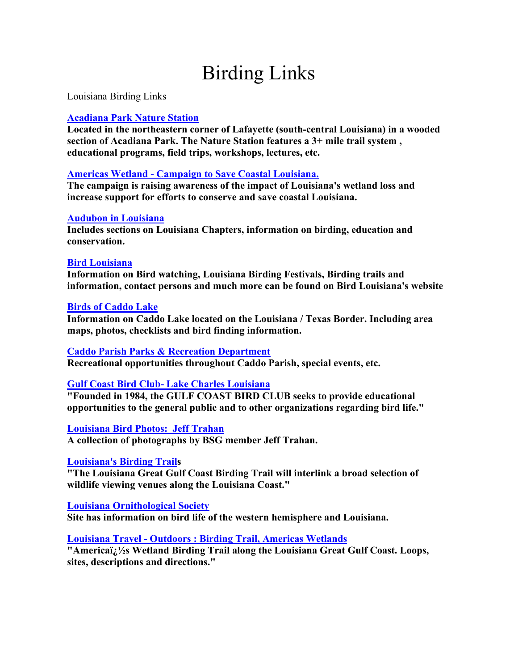# Birding Links

Louisiana Birding Links

# **[Acadiana Park Nature Station](http://www.naturestation.org/)**

**Located in the northeastern corner of Lafayette (south-central Louisiana) in a wooded section of Acadiana Park. The Nature Station features a 3+ mile trail system , educational programs, field trips, workshops, lectures, etc.** 

# **[Americas Wetland - Campaign to Save Coastal Louisiana.](http://www.americaswetland.com/)**

**The campaign is raising awareness of the impact of Louisiana's wetland loss and increase support for efforts to conserve and save coastal Louisiana.**

# **[Audubon in Louisiana](http://la.audubon.org/)**

**Includes sections on Louisiana Chapters, information on birding, education and conservation.**

# **[Bird Louisiana](http://www.birdlouisiana.com/)**

**Information on Bird watching, Louisiana Birding Festivals, Birding trails and information, contact persons and much more can be found on Bird Louisiana's website**

# **[Birds of Caddo Lake](http://members.tripod.com/caddobirds/)**

**Information on Caddo Lake located on the Louisiana / Texas Border. Including area maps, photos, checklists and bird finding information.**

# **[Caddo Parish Parks & Recreation Department](http://www.caddoparks.com/events.cfm)**

**Recreational opportunities throughout Caddo Parish, special events, etc.**

# **[Gulf Coast Bird Club- Lake Charles Louisiana](https://sites.google.com/site/gulfcoastbirdclub/)**

**"Founded in 1984, the GULF COAST BIRD CLUB seeks to provide educational opportunities to the general public and to other organizations regarding bird life."**

**[Louisiana Bird Photos: Jeff Trahan](http://www.jtrahan.com/bird_photos/index.htm)**

**A collection of photographs by BSG member Jeff Trahan.**

# **[Louisiana's Birding Trails](http://www.louisianatravel.com/louisiana-birding-trails)**

**"The Louisiana Great Gulf Coast Birding Trail will interlink a broad selection of wildlife viewing venues along the Louisiana Coast."**

**[Louisiana Ornithological Society](http://losbird.org/)**

**Site has information on bird life of the western hemisphere and Louisiana.**

**[Louisiana Travel - Outdoors : Birding Trail, Americas Wetlands](http://www.louisianatravel.com/explorela/outdoors/birding)**

"Americaï<sub>d</sub><sup>1</sup>/<sub>28</sub> Wetland Birding Trail along the Louisiana Great Gulf Coast. Loops, **sites, descriptions and directions."**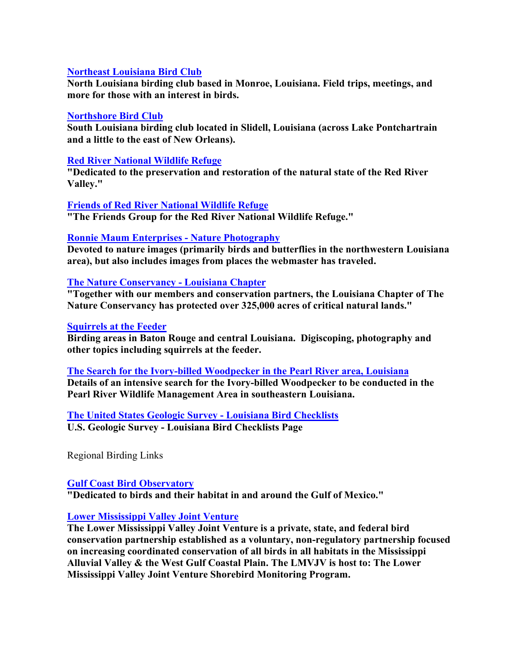# **[Northeast Louisiana Bird Club](http://www.ulm.edu/~tolson/jqws.htm)**

**North Louisiana birding club based in Monroe, Louisiana. Field trips, meetings, and more for those with an interest in birds.**

# **[Northshore Bird Club](http://www.minilogic.com/nsbirders/)**

**South Louisiana birding club located in Slidell, Louisiana (across Lake Pontchartrain and a little to the east of New Orleans).**

# **[Red River National Wildlife Refuge](http://www.fws.gov/northlouisiana/RedRiver/)**

**"Dedicated to the preservation and restoration of the natural state of the Red River Valley."**

# **[Friends of Red River National Wildlife Refuge](http://www.friendsofredriver.org/)**

**"The Friends Group for the Red River National Wildlife Refuge."**

# **[Ronnie Maum Enterprises - Nature Photography](http://www.ronniemaum.com/)**

**Devoted to nature images (primarily birds and butterflies in the northwestern Louisiana area), but also includes images from places the webmaster has traveled.**

# **[The Nature Conservancy - Louisiana Chapter](http://nature.org/wherewework/northamerica/states/louisiana/)**

**"Together with our members and conservation partners, the Louisiana Chapter of The Nature Conservancy has protected over 325,000 acres of critical natural lands."**

#### **[Squirrels at the Feeder](http://www.squirrelsatthefeeder.com/)**

**Birding areas in Baton Rouge and central Louisiana. Digiscoping, photography and other topics including squirrels at the feeder.**

**[The Search for the Ivory-billed Woodpecker in the Pearl River area, Louisiana](http://www.birds.cornell.edu/ivory/aboutibwo/pearl_river_html) Details of an intensive search for the Ivory-billed Woodpecker to be conducted in the Pearl River Wildlife Management Area in southeastern Louisiana.**

**[The United States Geologic Survey - Louisiana Bird Checklists](http://www.npwrc.usgs.gov/resource/othrdata/chekbird/r4/22.htm) U.S. Geologic Survey - Louisiana Bird Checklists Page**

Regional Birding Links

# **[Gulf Coast Bird Observatory](http://www.gcbo.org/)**

**"Dedicated to birds and their habitat in and around the Gulf of Mexico."**

# **[Lower Mississippi Valley Joint Venture](http://www.lmvjv.org/)**

**The Lower Mississippi Valley Joint Venture is a private, state, and federal bird conservation partnership established as a voluntary, non-regulatory partnership focused on increasing coordinated conservation of all birds in all habitats in the Mississippi Alluvial Valley & the West Gulf Coastal Plain. The LMVJV is host to: The Lower Mississippi Valley Joint Venture Shorebird Monitoring Program.**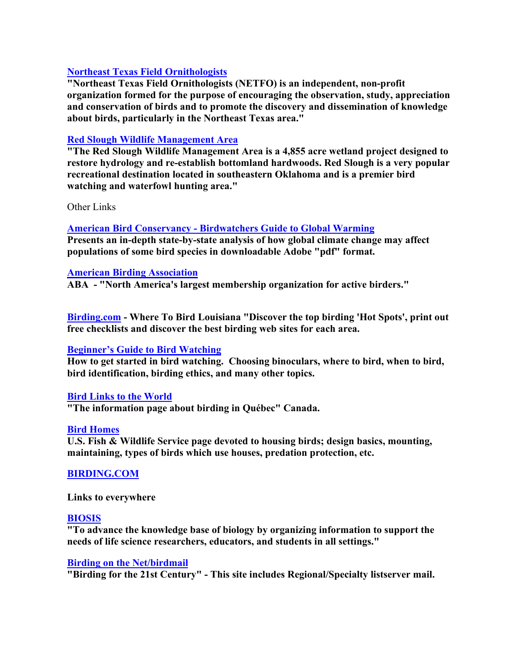# **[Northeast Texas Field Ornithologists](http://members.tripod.com/NETFO_TX/)**

**"Northeast Texas Field Ornithologists (NETFO) is an independent, non-profit organization formed for the purpose of encouraging the observation, study, appreciation and conservation of birds and to promote the discovery and dissemination of knowledge about birds, particularly in the Northeast Texas area."** 

# **[Red Slough Wildlife Management Area](http://www.fs.fed.us/r8/ouachita/natural-resources/redslough/index.shtml)**

**"The Red Slough Wildlife Management Area is a 4,855 acre wetland project designed to restore hydrology and re-establish bottomland hardwoods. Red Slough is a very popular recreational destination located in southeastern Oklahoma and is a premier bird watching and waterfowl hunting area."**

Other Links

# **[American Bird Conservancy - Birdwatchers Guide to Global Warming](http://www.abcbirds.org/climatechange/statepage.htm)**

**Presents an in-depth state-by-state analysis of how global climate change may affect populations of some bird species in downloadable Adobe "pdf" format.**

#### **[American Birding Association](http://www.aba.org/index.html)**

**ABA - "North America's largest membership organization for active birders."** 

**[Birding.com](http://www.birding.com/) - Where To Bird Louisiana "Discover the top birding 'Hot Spots', print out free checklists and discover the best birding web sites for each area.** 

# **[Beginner's Guide to Bird Watching](http://www.homeadvisor.com/r/birdwatching-guide)**

**How to get started in bird watching. Choosing binoculars, where to bird, when to bird, bird identification, birding ethics, and many other topics.** 

# **[Bird Links to the World](http://www.bsc-eoc.org/links/)**

**"The information page about birding in Québec" Canada.**

#### **[Bird Homes](http://library.fws.gov/Bird_Publications/house.html)**

**U.S. Fish & Wildlife Service page devoted to housing birds; design basics, mounting, maintaining, types of birds which use houses, predation protection, etc.**

# **[BIRDING.COM](http://www.birding.com/)**

**Links to everywhere**

# **[BIOSIS](http://www.biosis.org/)**

**"To advance the knowledge base of biology by organizing information to support the needs of life science researchers, educators, and students in all settings."**

#### **[Birding on the Net/birdmail](http://birdingonthe.net/birdmail.html)**

**"Birding for the 21st Century" - This site includes Regional/Specialty listserver mail.**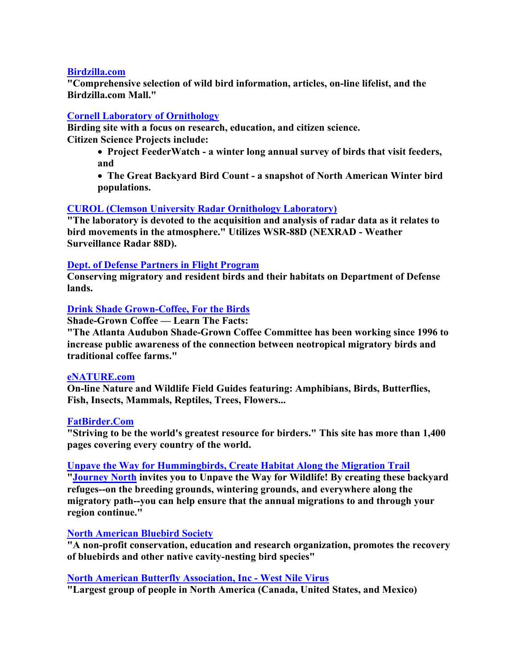# **[Birdzilla.com](http://www.birdzilla.com/)**

**"Comprehensive selection of wild bird information, articles, on-line lifelist, and the Birdzilla.com Mall."** 

# **[Cornell Laboratory of Ornithology](http://www.birds.cornell.edu/)**

**Birding site with a focus on research, education, and citizen science. Citizen Science Projects include:**

- **Project FeederWatch a winter long annual survey of birds that visit feeders, and**
- **The Great Backyard Bird Count a snapshot of North American Winter bird populations.**

# **[CUROL \(Clemson University Radar Ornithology Laboratory\)](http://virtual.clemson.edu/groups/birdrad/)**

**"The laboratory is devoted to the acquisition and analysis of radar data as it relates to bird movements in the atmosphere." Utilizes WSR-88D (NEXRAD - Weather Surveillance Radar 88D).**

# **[Dept. of Defense Partners in Flight Program](http://www.dodpif.org/)**

**Conserving migratory and resident birds and their habitats on Department of Defense lands.**

# **[Drink Shade Grown-Coffee, For the Birds](http://www.atlantaaudubon.org/aaswww/sgc/sgcfacts.htm)**

**Shade-Grown Coffee — Learn The Facts:** 

**"The Atlanta Audubon Shade-Grown Coffee Committee has been working since 1996 to increase public awareness of the connection between neotropical migratory birds and traditional coffee farms."**

# **[eNATURE.com](http://enature.com/fieldguides/intermediate.asp?curGroupID=1)**

**On-line Nature and Wildlife Field Guides featuring: Amphibians, Birds, Butterflies, Fish, Insects, Mammals, Reptiles, Trees, Flowers...**

# **[FatBirder.Com](http://www.fatbirder.com/)**

**"Striving to be the world's greatest resource for birders." This site has more than 1,400 pages covering every country of the world.**

# **[Unpave the Way for Hummingbirds, Create Habitat Along the Migration Trail](http://www.learner.org/jnorth/unpave/hummer.html)**

**["Journey North](http://www.learner.org/jnorth/) invites you to Unpave the Way for Wildlife! By creating these backyard refuges--on the breeding grounds, wintering grounds, and everywhere along the migratory path--you can help ensure that the annual migrations to and through your region continue."**

# **[North American Bluebird Society](http://www.nabluebirdsociety.org/)**

**"A non-profit conservation, education and research organization, promotes the recovery of bluebirds and other native cavity-nesting bird species"**

# **[North American Butterfly Association, Inc - West Nile Virus](http://www.naba.org/wnvirus.html)**

**"Largest group of people in North America (Canada, United States, and Mexico)**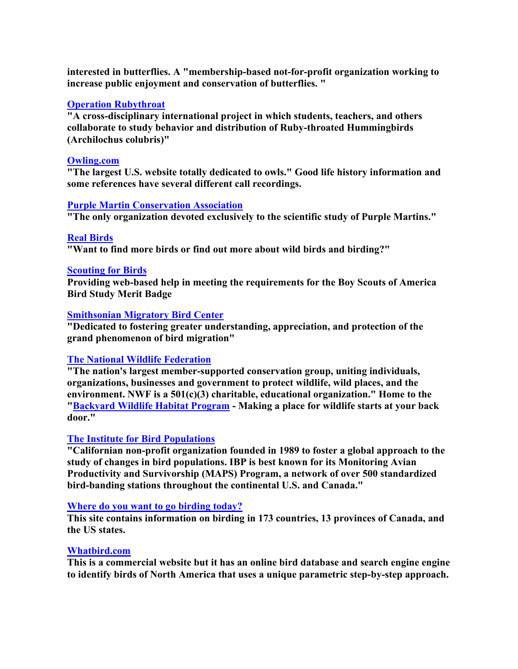**interested in butterflies. A "membership-based not-for-profit organization working to increase public enjoyment and conservation of butterflies. "**

# **[Operation Rubythroat](http://www.rubythroat.org/)**

**"A cross-disciplinary international project in which students, teachers, and others collaborate to study behavior and distribution of Ruby-throated Hummingbirds (Archilochus colubris)"** 

# **[Owling.com](http://www.owling.com/index.html)**

**"The largest U.S. website totally dedicated to owls." Good life history information and some references have several different call recordings.**

# **[Purple Martin Conservation Association](http://www.purplemartin.org/)**

**"The only organization devoted exclusively to the scientific study of Purple Martins."**

# **[Real Birds](http://www.virtualbirder.com/vbirder/realbirds/RealBirdsMid.html)**

**"Want to find more birds or find out more about wild birds and birding?"**

# **[Scouting for Birds](http://k2gw.tripod.com/birdstudy/index.html)**

**Providing web-based help in meeting the requirements for the Boy Scouts of America Bird Study Merit Badge** 

# **[Smithsonian Migratory Bird Center](https://nationalzoo.si.edu/scbi/migratorybirds/)**

**"Dedicated to fostering greater understanding, appreciation, and protection of the grand phenomenon of bird migration"**

# **[The National Wildlife Federation](http://www.nwf.org/)**

**"The nation's largest member-supported conservation group, uniting individuals, organizations, businesses and government to protect wildlife, wild places, and the environment. NWF is a 501(c)(3) charitable, educational organization." Home to the ["Backyard Wildlife Habitat Program](http://www.nwf.org/backyardwildlifehabitat/) - Making a place for wildlife starts at your back door."**

# **[The Institute for Bird Populations](http://www.birdpop.org/)**

**"Californian non-profit organization founded in 1989 to foster a global approach to the study of changes in bird populations. IBP is best known for its Monitoring Avian Productivity and Survivorship (MAPS) Program, a network of over 500 standardized bird-banding stations throughout the continental U.S. and Canada."**

# **[Where do you want to go birding today?](http://www.camacdonald.com/birding/birding.htm)**

**This site contains information on birding in 173 countries, 13 provinces of Canada, and the US states.**

# **[Whatbird.com](http://www.whatbird.com/)**

**This is a commercial website but it has an online bird database and search engine engine to identify birds of North America that uses a unique parametric step-by-step approach.**